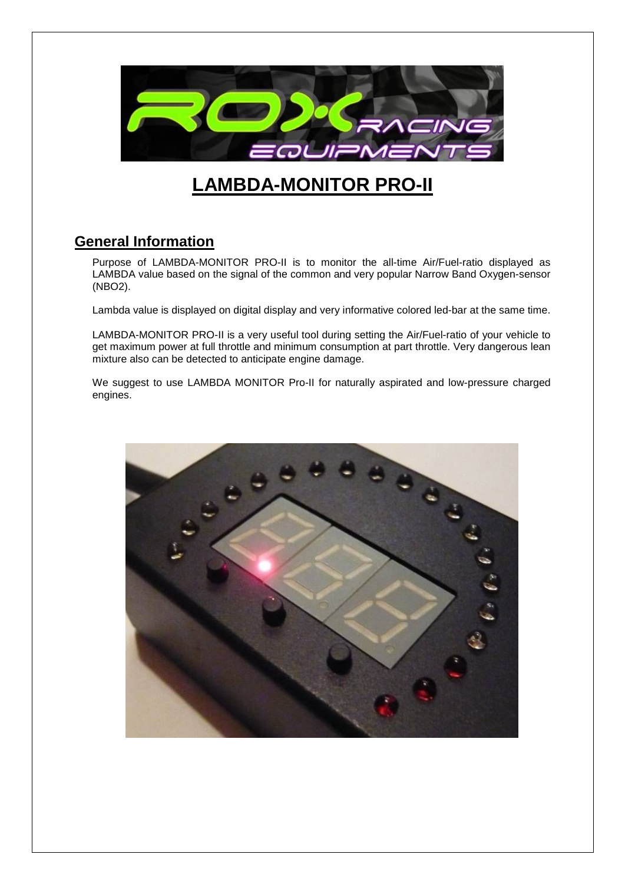

# **LAMBDA-MONITOR PRO-II**

## **General Information**

Purpose of LAMBDA-MONITOR PRO-II is to monitor the all-time Air/Fuel-ratio displayed as LAMBDA value based on the signal of the common and very popular Narrow Band Oxygen-sensor (NBO2).

Lambda value is displayed on digital display and very informative colored led-bar at the same time.

LAMBDA-MONITOR PRO-II is a very useful tool during setting the Air/Fuel-ratio of your vehicle to get maximum power at full throttle and minimum consumption at part throttle. Very dangerous lean mixture also can be detected to anticipate engine damage.

We suggest to use LAMBDA MONITOR Pro-II for naturally aspirated and low-pressure charged engines.

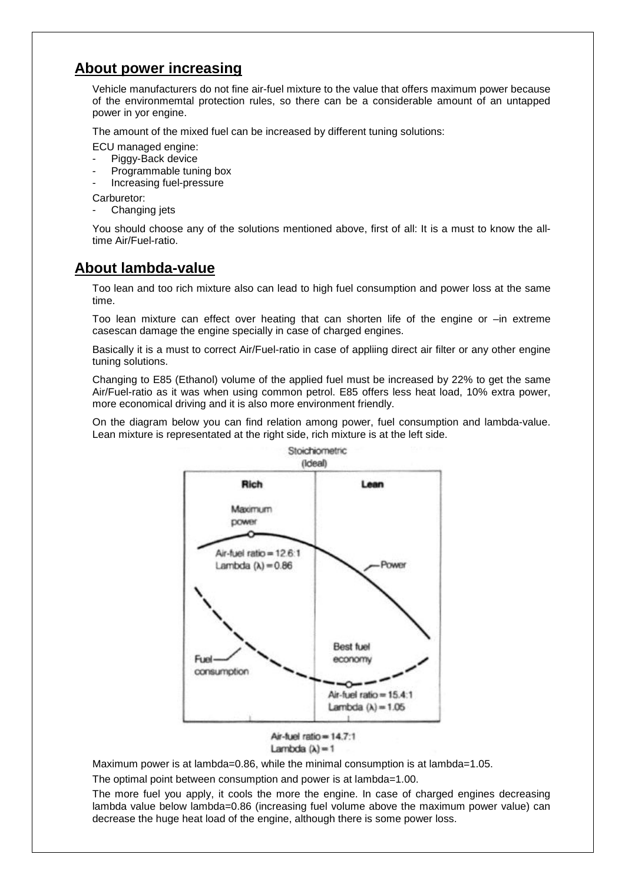## **About power increasing**

Vehicle manufacturers do not fine air-fuel mixture to the value that offers maximum power because of the environmemtal protection rules, so there can be a considerable amount of an untapped power in yor engine.

The amount of the mixed fuel can be increased by different tuning solutions:

- ECU managed engine:
- Piggy-Back device
- Programmable tuning box
- Increasing fuel-pressure

Carburetor:

Changing jets

You should choose any of the solutions mentioned above, first of all: It is a must to know the alltime Air/Fuel-ratio.

### **About lambda-value**

Too lean and too rich mixture also can lead to high fuel consumption and power loss at the same time.

Too lean mixture can effect over heating that can shorten life of the engine or –in extreme casescan damage the engine specially in case of charged engines.

Basically it is a must to correct Air/Fuel-ratio in case of appliing direct air filter or any other engine tuning solutions.

Changing to E85 (Ethanol) volume of the applied fuel must be increased by 22% to get the same Air/Fuel-ratio as it was when using common petrol. E85 offers less heat load, 10% extra power, more economical driving and it is also more environment friendly.

On the diagram below you can find relation among power, fuel consumption and lambda-value. Lean mixture is representated at the right side, rich mixture is at the left side.





Maximum power is at lambda=0.86, while the minimal consumption is at lambda=1.05.

The optimal point between consumption and power is at lambda=1.00.

The more fuel you apply, it cools the more the engine. In case of charged engines decreasing lambda value below lambda=0.86 (increasing fuel volume above the maximum power value) can decrease the huge heat load of the engine, although there is some power loss.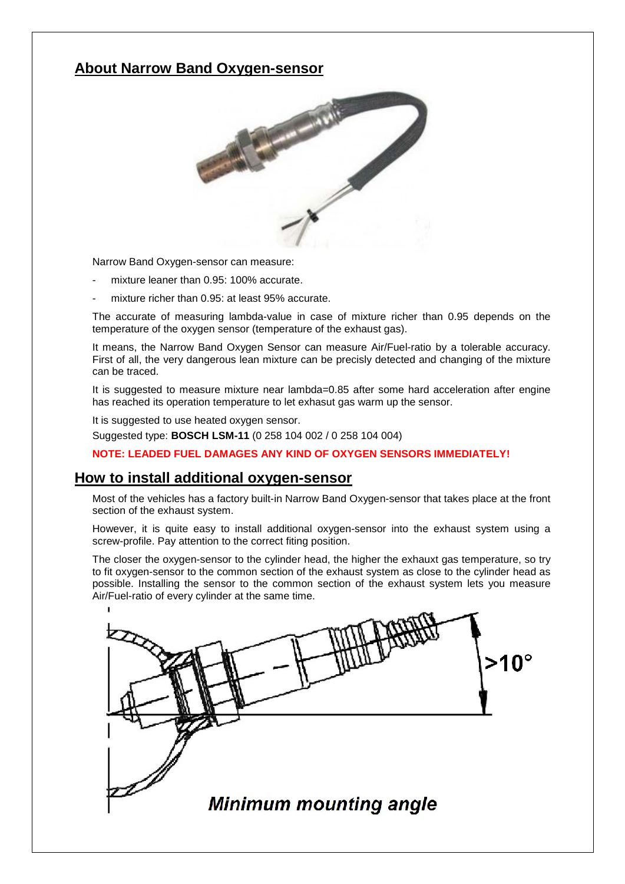## **About Narrow Band Oxygen-sensor**



Narrow Band Oxygen-sensor can measure:

- mixture leaner than 0.95: 100% accurate.
- mixture richer than 0.95: at least 95% accurate.

The accurate of measuring lambda-value in case of mixture richer than 0.95 depends on the temperature of the oxygen sensor (temperature of the exhaust gas).

It means, the Narrow Band Oxygen Sensor can measure Air/Fuel-ratio by a tolerable accuracy. First of all, the very dangerous lean mixture can be precisly detected and changing of the mixture can be traced.

It is suggested to measure mixture near lambda=0.85 after some hard acceleration after engine has reached its operation temperature to let exhasut gas warm up the sensor.

It is suggested to use heated oxygen sensor.

Suggested type: **BOSCH LSM-11** (0 258 104 002 / 0 258 104 004)

**NOTE: LEADED FUEL DAMAGES ANY KIND OF OXYGEN SENSORS IMMEDIATELY!**

#### **How to install additional oxygen-sensor**

Most of the vehicles has a factory built-in Narrow Band Oxygen-sensor that takes place at the front section of the exhaust system.

However, it is quite easy to install additional oxygen-sensor into the exhaust system using a screw-profile. Pay attention to the correct fiting position.

The closer the oxygen-sensor to the cylinder head, the higher the exhauxt gas temperature, so try to fit oxygen-sensor to the common section of the exhaust system as close to the cylinder head as possible. Installing the sensor to the common section of the exhaust system lets you measure Air/Fuel-ratio of every cylinder at the same time.

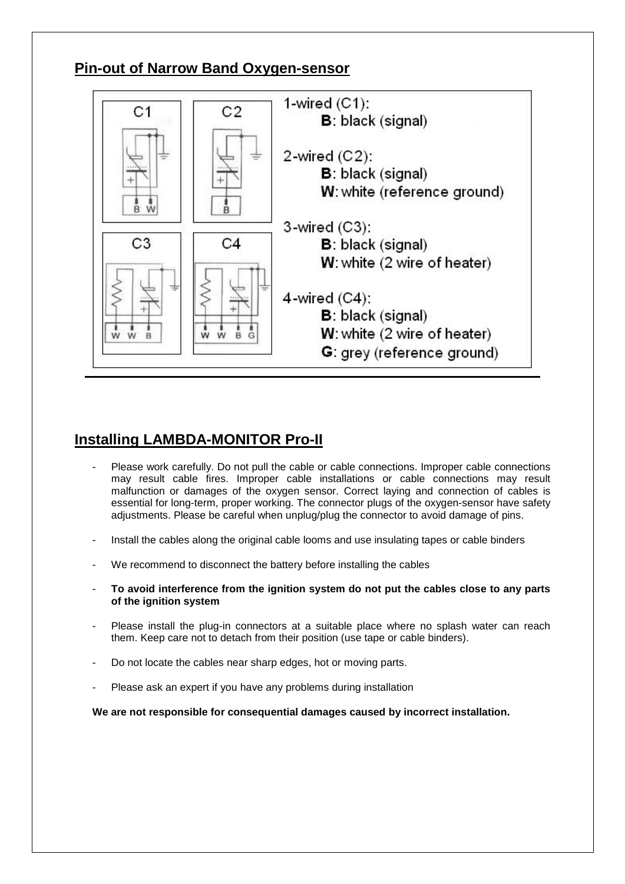## **Pin-out of Narrow Band Oxygen-sensor**



## **Installing LAMBDA-MONITOR Pro-II**

- Please work carefully. Do not pull the cable or cable connections. Improper cable connections may result cable fires. Improper cable installations or cable connections may result malfunction or damages of the oxygen sensor. Correct laying and connection of cables is essential for long-term, proper working. The connector plugs of the oxygen-sensor have safety adjustments. Please be careful when unplug/plug the connector to avoid damage of pins.
- Install the cables along the original cable looms and use insulating tapes or cable binders
- We recommend to disconnect the battery before installing the cables
- **To avoid interference from the ignition system do not put the cables close to any parts of the ignition system**
- Please install the plug-in connectors at a suitable place where no splash water can reach them. Keep care not to detach from their position (use tape or cable binders).
- Do not locate the cables near sharp edges, hot or moving parts.
- Please ask an expert if you have any problems during installation

**We are not responsible for consequential damages caused by incorrect installation.**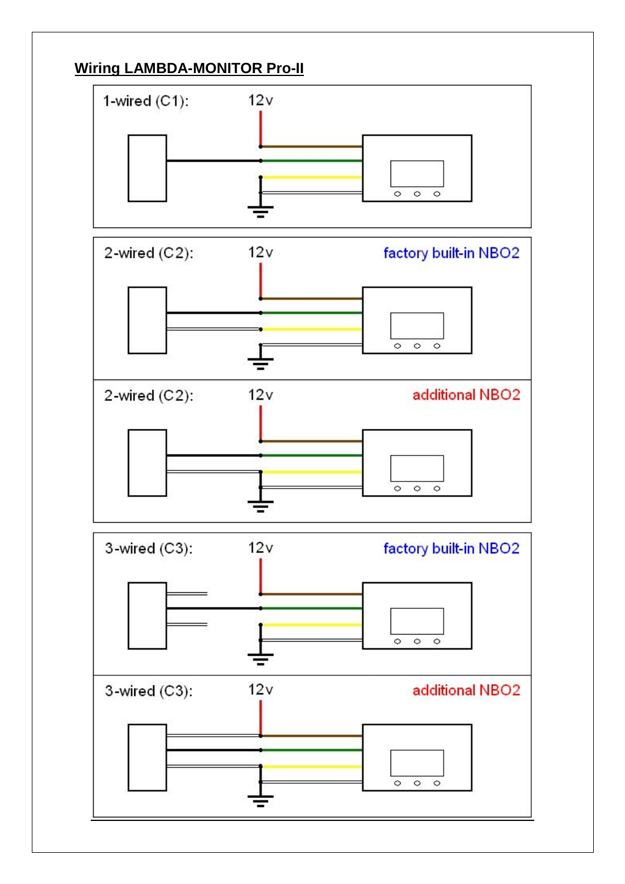# **Wiring LAMBDA-MONITOR Pro-II**

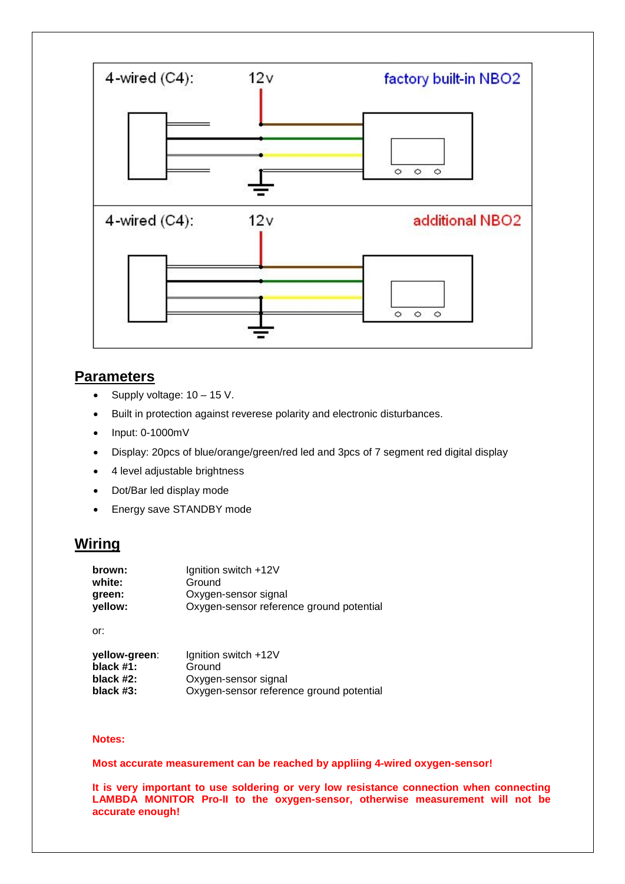

### **Parameters**

- · Supply voltage: 10 15 V.
- · Built in protection against reverese polarity and electronic disturbances.
- · Input: 0-1000mV
- · Display: 20pcs of blue/orange/green/red led and 3pcs of 7 segment red digital display
- 4 level adjustable brightness
- · Dot/Bar led display mode
- · Energy save STANDBY mode

### **Wiring**

| brown:                         | Ignition switch +12V                     |  |  |
|--------------------------------|------------------------------------------|--|--|
| white:                         | Ground                                   |  |  |
| Oxygen-sensor signal<br>green: |                                          |  |  |
| yellow:                        | Oxygen-sensor reference ground potential |  |  |

or:

| yellow-green:<br>black $#1$ : | Ignition switch +12V<br>Ground           |  |
|-------------------------------|------------------------------------------|--|
| black $#2$ :                  | Oxygen-sensor signal                     |  |
| black $#3$ :                  | Oxygen-sensor reference ground potential |  |

#### **Notes:**

**Most accurate measurement can be reached by appliing 4-wired oxygen-sensor!**

**It is very important to use soldering or very low resistance connection when connecting LAMBDA MONITOR Pro-II to the oxygen-sensor, otherwise measurement will not be accurate enough!**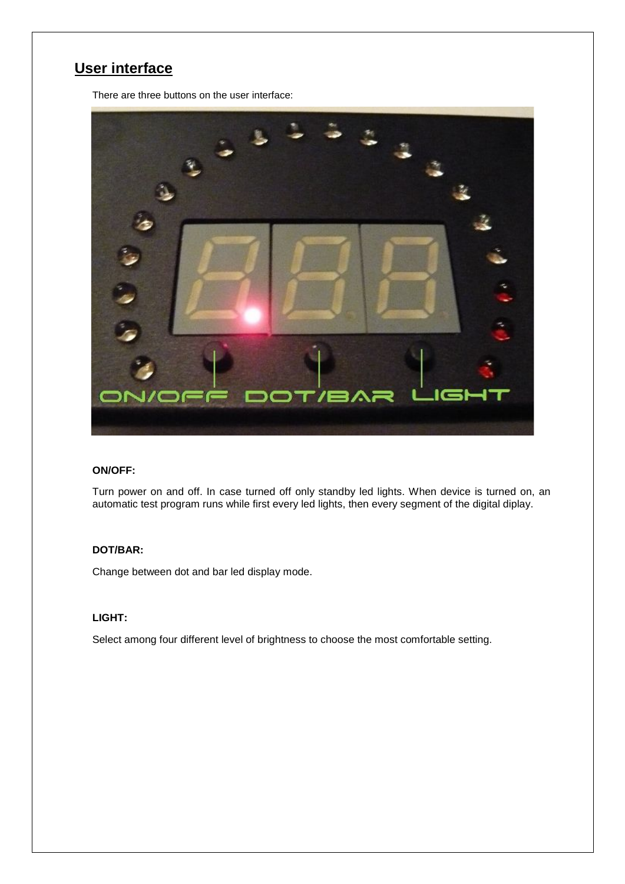# **User interface**

There are three buttons on the user interface:



#### **ON/OFF:**

Turn power on and off. In case turned off only standby led lights. When device is turned on, an automatic test program runs while first every led lights, then every segment of the digital diplay.

#### **DOT/BAR:**

Change between dot and bar led display mode.

#### **LIGHT:**

Select among four different level of brightness to choose the most comfortable setting.